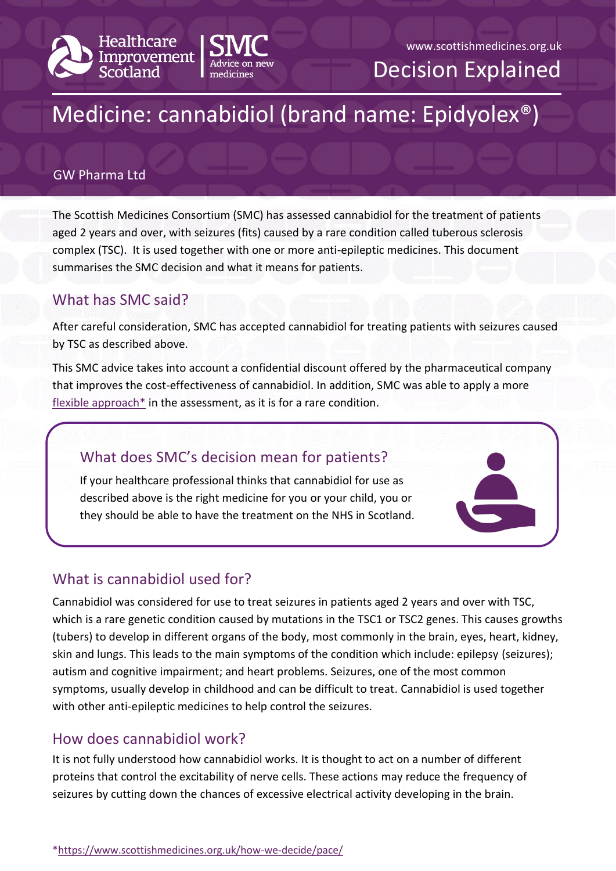



Decision Explained

# Medicine: cannabidiol (brand name: Epidyolex®)

#### GW Pharma Ltd

The Scottish Medicines Consortium (SMC) has assessed cannabidiol for the treatment of patients aged 2 years and over, with seizures (fits) caused by a rare condition called tuberous sclerosis complex (TSC). It is used together with one or more anti-epileptic medicines. This document summarises the SMC decision and what it means for patients.

#### What has SMC said?

After careful consideration, SMC has accepted cannabidiol for treating patients with seizures caused by TSC as described above.

This SMC advice takes into account a confidential discount offered by the pharmaceutical company that improves the cost-effectiveness of cannabidiol. In addition, SMC was able to apply a more flexible approach<sup>\*</sup> in the assessment, as it is for a rare condition.

# What does SMC's decision mean for patients?

If your healthcare professional thinks that cannabidiol for use as described above is the right medicine for you or your child, you or they should be able to have the treatment on the NHS in Scotland.

## What is cannabidiol used for?

Cannabidiol was considered for use to treat seizures in patients aged 2 years and over with TSC, which is a rare genetic condition caused by mutations in the TSC1 or TSC2 genes. This causes growths (tubers) to develop in different organs of the body, most commonly in the brain, eyes, heart, kidney, skin and lungs. This leads to the main symptoms of the condition which include: epilepsy (seizures); autism and cognitive impairment; and heart problems. Seizures, one of the most common symptoms, usually develop in childhood and can be difficult to treat. Cannabidiol is used together with other anti-epileptic medicines to help control the seizures.

## How does cannabidiol work?

It is not fully understood how cannabidiol works. It is thought to act on a number of different proteins that control the excitability of nerve cells. These actions may reduce the frequency of seizures by cutting down the chances of excessive electrical activity developing in the brain.